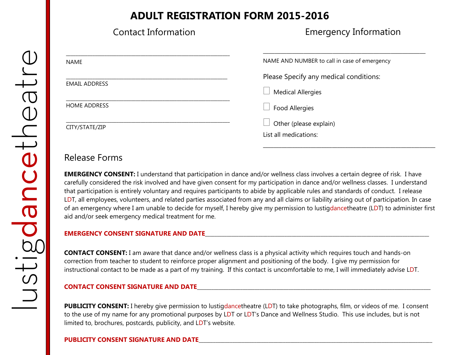# **ADULT REGISTRATION FORM 2015-2016**

| <b>Contact Information</b> | <b>Emergency Information</b>                    |
|----------------------------|-------------------------------------------------|
| <b>NAME</b>                | NAME AND NUMBER to call in case of emergency    |
| <b>EMAIL ADDRESS</b>       | Please Specify any medical conditions:          |
|                            | <b>Medical Allergies</b>                        |
| <b>HOME ADDRESS</b>        | <b>Food Allergies</b>                           |
| CITY/STATE/ZIP             | Other (please explain)<br>List all medications: |

## Release Forms

**EMERGENCY CONSENT:** I understand that participation in dance and/or wellness class involves a certain degree of risk. I have carefully considered the risk involved and have given consent for my participation in dance and/or wellness classes. I understand that participation is entirely voluntary and requires participants to abide by applicable rules and standards of conduct. I release LDT, all employees, volunteers, and related parties associated from any and all claims or liability arising out of participation. In case of an emergency where I am unable to decide for myself, I hereby give my permission to lustigdancetheatre (LDT) to administer first aid and/or seek emergency medical treatment for me.

\_\_\_\_\_\_\_\_\_\_\_\_\_\_\_\_\_\_\_\_\_\_\_\_\_\_\_\_\_\_\_\_\_\_\_\_\_\_\_\_\_\_\_\_\_\_\_\_\_\_\_\_\_\_\_\_\_\_\_\_\_\_\_\_\_

### **EMERGENCY CONSENT SIGNATURE AND DATE**\_\_\_\_\_\_\_\_\_\_\_\_\_\_\_\_\_\_\_\_\_\_\_\_\_\_\_\_\_\_\_\_\_\_\_\_\_\_\_\_\_\_\_\_\_\_\_\_\_\_\_\_\_\_\_\_\_\_\_\_\_\_\_\_\_\_\_\_\_\_\_\_\_\_\_\_\_\_\_\_\_\_\_\_\_\_\_\_\_\_\_\_\_

**CONTACT CONSENT:** I am aware that dance and/or wellness class is a physical activity which requires touch and hands-on correction from teacher to student to reinforce proper alignment and positioning of the body. I give my permission for instructional contact to be made as a part of my training. If this contact is uncomfortable to me, I will immediately advise LDT.

### **CONTACT CONSENT SIGNATURE AND DATE**\_\_\_\_\_\_\_\_\_\_\_\_\_\_\_\_\_\_\_\_\_\_\_\_\_\_\_\_\_\_\_\_\_\_\_\_\_\_\_\_\_\_\_\_\_\_\_\_\_\_\_\_\_\_\_\_\_\_\_\_\_\_\_\_\_\_\_\_\_\_\_\_\_\_\_\_\_\_\_\_\_\_\_\_\_\_\_\_\_\_\_\_\_\_\_\_\_

**PUBLICITY CONSENT:** I hereby give permission to lustigdancetheatre (LDT) to take photographs, film, or videos of me. I consent to the use of my name for any promotional purposes by LDT or LDT's Dance and Wellness Studio. This use includes, but is not limited to, brochures, postcards, publicity, and LDT's website.